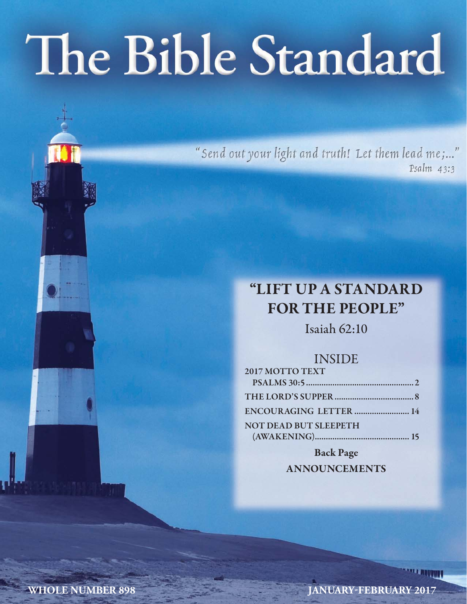# The Bible Standard

"Send out your light and truth! Let them lead me;..." Psalm 43:3

# **"LIFT UP A STANDARD FOR THE PEOPLE"**

Isaiah 62:10

## INSIDE

| 2017 MOTTO TEXT              |  |
|------------------------------|--|
|                              |  |
|                              |  |
| ENCOURAGING LETTER  14       |  |
| <b>NOT DEAD BUT SLEEPETH</b> |  |
|                              |  |

**Back Page ANNOUNCEMENTS**

**WHOLE NUMBER 898 JANUARY-FEBRUARY 2017**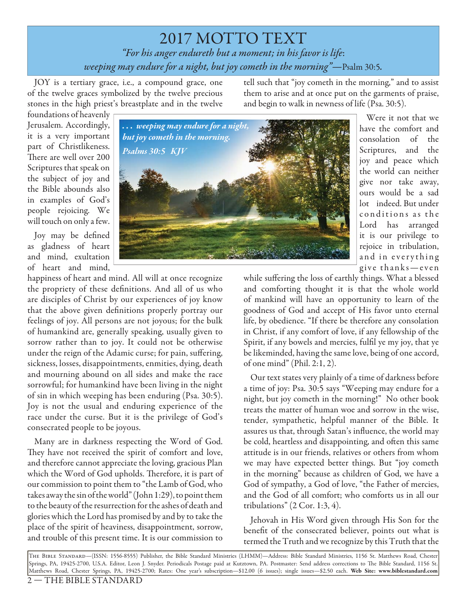2017 MOTTO TEXT *"For his anger endureth but a moment; in his favor is life*: *weeping may endure for a night, but joy cometh in the morning"—*Psalm 30:5*.*

JOY is a tertiary grace, i.e., a compound grace, one of the twelve graces symbolized by the twelve precious stones in the high priest's breastplate and in the twelve

tell such that "joy cometh in the morning," and to assist them to arise and at once put on the garments of praise, and begin to walk in newness of life (Psa. 30:5).

foundations of heavenly Jerusalem. Accordingly, it is a very important part of Christlikeness. There are well over 200 Scriptures that speak on the subject of joy and the Bible abounds also in examples of God's people rejoicing. We will touch on only a few.

Joy may be defined as gladness of heart and mind, exultation of heart and mind,

happiness of heart and mind. All will at once recognize the propriety of these definitions. And all of us who are disciples of Christ by our experiences of joy know that the above given definitions properly portray our feelings of joy. All persons are not joyous; for the bulk of humankind are, generally speaking, usually given to sorrow rather than to joy. It could not be otherwise under the reign of the Adamic curse; for pain, suffering, sickness, losses, disappointments, enmities, dying, death and mourning abound on all sides and make the race sorrowful; for humankind have been living in the night of sin in which weeping has been enduring (Psa. 30:5). Joy is not the usual and enduring experience of the race under the curse. But it is the privilege of God's consecrated people to be joyous.

Many are in darkness respecting the Word of God. They have not received the spirit of comfort and love, and therefore cannot appreciate the loving, gracious Plan which the Word of God upholds. Therefore, it is part of our commission to point them to "the Lamb of God, who takes away the sin of the world" (John 1:29), to point them to the beauty of the resurrection for the ashes of death and glories which the Lord has promised by and by to take the place of the spirit of heaviness, disappointment, sorrow, and trouble of this present time. It is our commission to



Were it not that we have the comfort and consolation of the Scriptures, and the joy and peace which the world can neither give nor take away, ours would be a sad lot indeed. But under conditions as the Lord has arranged it is our privilege to rejoice in tribulation, and in everything give thanks-even

while suffering the loss of earthly things. What a blessed and comforting thought it is that the whole world of mankind will have an opportunity to learn of the goodness of God and accept of His favor unto eternal life, by obedience. "If there be therefore any consolation in Christ, if any comfort of love, if any fellowship of the Spirit, if any bowels and mercies, fulfil ye my joy, that ye be likeminded, having the same love, being of one accord, of one mind" (Phil. 2:1, 2).

Our text states very plainly of a time of darkness before a time of joy: Psa. 30:5 says "Weeping may endure for a night, but joy cometh in the morning!" No other book treats the matter of human woe and sorrow in the wise, tender, sympathetic, helpful manner of the Bible. It assures us that, through Satan's influence, the world may be cold, heartless and disappointing, and often this same attitude is in our friends, relatives or others from whom we may have expected better things. But "joy cometh in the morning" because as children of God, we have a God of sympathy, a God of love, "the Father of mercies, and the God of all comfort; who comforts us in all our tribulations" (2 Cor. 1:3, 4).

Jehovah in His Word given through His Son for the benefit of the consecrated believer, points out what is termed the Truth and we recognize by this Truth that the

The Bible Standard—(ISSN: 1556-8555) Publisher, the Bible Standard Ministries (LHMM)—Address: Bible Standard Ministries, 1156 St. Matthews Road, Chester Springs, PA, 19425-2700, U.S.A. Editor, Leon J. Snyder. Periodicals Postage paid at Kutztown, PA. Postmaster: Send address corrections to Th e Bible Standard, 1156 St. Matthews Road, Chester Springs, PA, 19425-2700; Rates: One year's subscription—\$12.00 (6 issues); single issues—\$2.50 each. **Web Site: www.biblestandard.com**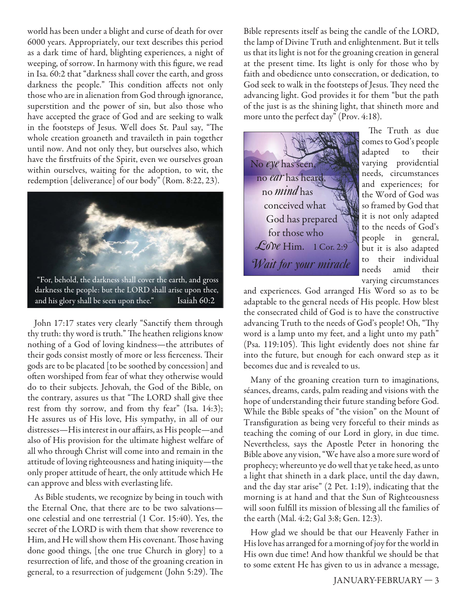world has been under a blight and curse of death for over 6000 years. Appropriately, our text describes this period as a dark time of hard, blighting experiences, a night of weeping, of sorrow. In harmony with this figure, we read in Isa. 60:2 that "darkness shall cover the earth, and gross darkness the people." This condition affects not only those who are in alienation from God through ignorance, superstition and the power of sin, but also those who have accepted the grace of God and are seeking to walk in the footsteps of Jesus. Well does St. Paul say, "The whole creation groaneth and travaileth in pain together until now. And not only they, but ourselves also, which have the firstfruits of the Spirit, even we ourselves groan within ourselves, waiting for the adoption, to wit, the redemption [deliverance] of our body" (Rom. 8:22, 23).



John 17:17 states very clearly "Sanctify them through thy truth: thy word is truth." The heathen religions know nothing of a God of loving kindness—the attributes of their gods consist mostly of more or less fierceness. Their gods are to be placated [to be soothed by concession] and often worshiped from fear of what they otherwise would do to their subjects. Jehovah, the God of the Bible, on the contrary, assures us that "The LORD shall give thee rest from thy sorrow, and from thy fear" (Isa. 14:3); He assures us of His love, His sympathy, in all of our distresses—His interest in our affairs, as His people—and also of His provision for the ultimate highest welfare of all who through Christ will come into and remain in the attitude of loving righteousness and hating iniquity—the only proper attitude of heart, the only attitude which He can approve and bless with everlasting life.

As Bible students, we recognize by being in touch with the Eternal One, that there are to be two salvations one celestial and one terrestrial (1 Cor. 15:40). Yes, the secret of the LORD is with them that show reverence to Him, and He will show them His covenant. Those having done good things, [the one true Church in glory] to a resurrection of life, and those of the groaning creation in general, to a resurrection of judgement (John 5:29). The

Bible represents itself as being the candle of the LORD, the lamp of Divine Truth and enlightenment. But it tells us that its light is not for the groaning creation in general at the present time. Its light is only for those who by faith and obedience unto consecration, or dedication, to God seek to walk in the footsteps of Jesus. They need the advancing light. God provides it for them "but the path of the just is as the shining light, that shineth more and more unto the perfect day" (Prov. 4:18).

No *eye* has seen, no *ear* has heard, no *mind* has conceived what God has prepared for those who *Love* Him. 1 Cor. 2:9 *Wait for your miracle*

The Truth as due comes to God's people adapted to their varying providential needs, circumstances and experiences; for the Word of God was so framed by God that it is not only adapted to the needs of God's people in general, but it is also adapted to their individual needs amid their varying circumstances

and experiences. God arranged His Word so as to be adaptable to the general needs of His people. How blest the consecrated child of God is to have the constructive advancing Truth to the needs of God's people! Oh, "Thy word is a lamp unto my feet, and a light unto my path" (Psa. 119:105). This light evidently does not shine far into the future, but enough for each onward step as it becomes due and is revealed to us.

Many of the groaning creation turn to imaginations, séances, dreams, cards, palm reading and visions with the hope of understanding their future standing before God. While the Bible speaks of "the vision" on the Mount of Transfiguration as being very forceful to their minds as teaching the coming of our Lord in glory, in due time. Nevertheless, says the Apostle Peter in honoring the Bible above any vision, "We have also a more sure word of prophecy; whereunto ye do well that ye take heed, as unto a light that shineth in a dark place, until the day dawn, and the day star arise" (2 Pet. 1:19), indicating that the morning is at hand and that the Sun of Righteousness will soon fulfill its mission of blessing all the families of the earth (Mal. 4:2; Gal 3:8; Gen. 12:3).

How glad we should be that our Heavenly Father in His love has arranged for a morning of joy for the world in His own due time! And how thankful we should be that to some extent He has given to us in advance a message,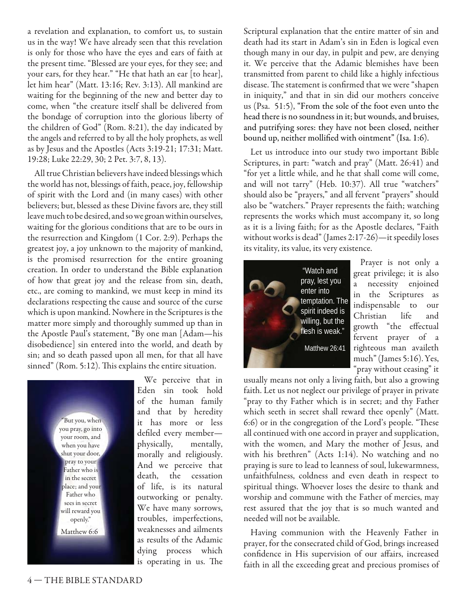a revelation and explanation, to comfort us, to sustain us in the way! We have already seen that this revelation is only for those who have the eyes and ears of faith at the present time. "Blessed are your eyes, for they see; and your ears, for they hear." "He that hath an ear [to hear], let him hear" (Matt. 13:16; Rev. 3:13). All mankind are waiting for the beginning of the new and better day to come, when "the creature itself shall be delivered from the bondage of corruption into the glorious liberty of the children of God" (Rom. 8:21), the day indicated by the angels and referred to by all the holy prophets, as well as by Jesus and the Apostles (Acts 3:19-21; 17:31; Matt. 19:28; Luke 22:29, 30; 2 Pet. 3:7, 8, 13).

All true Christian believers have indeed blessings which the world has not, blessings of faith, peace, joy, fellowship of spirit with the Lord and (in many cases) with other believers; but, blessed as these Divine favors are, they still leave much to be desired, and so we groan within ourselves, waiting for the glorious conditions that are to be ours in the resurrection and Kingdom (1 Cor. 2:9). Perhaps the greatest joy, a joy unknown to the majority of mankind, is the promised resurrection for the entire groaning creation. In order to understand the Bible explanation of how that great joy and the release from sin, death, etc., are coming to mankind, we must keep in mind its declarations respecting the cause and source of the curse which is upon mankind. Nowhere in the Scriptures is the matter more simply and thoroughly summed up than in the Apostle Paul's statement, "By one man [Adam—his disobedience] sin entered into the world, and death by sin; and so death passed upon all men, for that all have sinned" (Rom. 5:12). This explains the entire situation.



We perceive that in Eden sin took hold of the human family and that by heredity it has more or less defiled every memberphysically, mentally, morally and religiously. And we perceive that death, the cessation of life, is its natural outworking or penalty. We have many sorrows, troubles, imperfections, weaknesses and ailments as results of the Adamic dying process which is operating in us. The

Scriptural explanation that the entire matter of sin and death had its start in Adam's sin in Eden is logical even though many in our day, in pulpit and pew, are denying it. We perceive that the Adamic blemishes have been transmitted from parent to child like a highly infectious disease. The statement is confirmed that we were "shapen in iniquity," and that in sin did our mothers conceive us (Psa. 51:5), "From the sole of the foot even unto the head there is no soundness in it; but wounds, and bruises, and putrifying sores: they have not been closed, neither bound up, neither mollified with ointment" (Isa. 1:6).

Let us introduce into our study two important Bible Scriptures, in part: "watch and pray" (Matt. 26:41) and "for yet a little while, and he that shall come will come, and will not tarry" (Heb. 10:37). All true "watchers" should also be "prayers," and all fervent "prayers" should also be "watchers." Prayer represents the faith; watching represents the works which must accompany it, so long as it is a living faith; for as the Apostle declares, "Faith without works is dead" (James 2:17-26)—it speedily loses its vitality, its value, its very existence.



Prayer is not only a great privilege; it is also a necessity enjoined in the Scriptures as indispensable to our Christian life and growth "the effectual fervent prayer of a righteous man availeth much" (James 5:16). Yes, 'pray without ceasing" it

usually means not only a living faith, but also a growing faith. Let us not neglect our privilege of prayer in private "pray to thy Father which is in secret; and thy Father which seeth in secret shall reward thee openly" (Matt. 6:6) or in the congregation of the Lord's people. "These all continued with one accord in prayer and supplication, with the women, and Mary the mother of Jesus, and with his brethren" (Acts 1:14). No watching and no praying is sure to lead to leanness of soul, lukewarmness, unfaithfulness, coldness and even death in respect to spiritual things. Whoever loses the desire to thank and worship and commune with the Father of mercies, may rest assured that the joy that is so much wanted and needed will not be available.

Having communion with the Heavenly Father in prayer, for the consecrated child of God, brings increased confidence in His supervision of our affairs, increased faith in all the exceeding great and precious promises of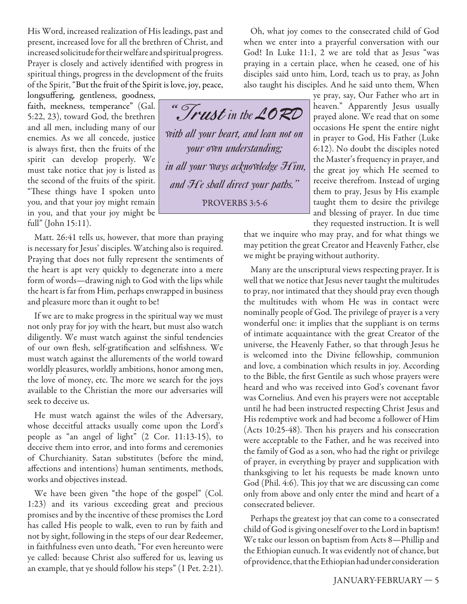His Word, increased realization of His leadings, past and present, increased love for all the brethren of Christ, and increased solicitude for their welfare and spiritual progress. Prayer is closely and actively identified with progress in spiritual things, progress in the development of the fruits of the Spirit, "But the fruit of the Spirit is love, joy, peace,

longsuffering, gentleness, goodness, faith, meekness, temperance" (Gal. 5:22, 23), toward God, the brethren and all men, including many of our enemies. As we all concede, justice is always first, then the fruits of the spirit can develop properly. We must take notice that joy is listed as the second of the fruits of the spirit. "These things have I spoken unto you, and that your joy might remain in you, and that your joy might be full" (John 15:11).

Matt. 26:41 tells us, however, that more than praying is necessary for Jesus' disciples. Watching also is required. Praying that does not fully represent the sentiments of the heart is apt very quickly to degenerate into a mere form of words—drawing nigh to God with the lips while the heart is far from Him, perhaps enwrapped in business and pleasure more than it ought to be!

If we are to make progress in the spiritual way we must not only pray for joy with the heart, but must also watch diligently. We must watch against the sinful tendencies of our own flesh, self-gratification and selfishness. We must watch against the allurements of the world toward worldly pleasures, worldly ambitions, honor among men, the love of money, etc. The more we search for the joys available to the Christian the more our adversaries will seek to deceive us.

He must watch against the wiles of the Adversary, whose deceitful attacks usually come upon the Lord's people as "an angel of light" (2 Cor. 11:13-15), to deceive them into error, and into forms and ceremonies of Churchianity. Satan substitutes (before the mind, affections and intentions) human sentiments, methods, works and objectives instead.

We have been given "the hope of the gospel" (Col. 1:23) and its various exceeding great and precious promises and by the incentive of these promises the Lord has called His people to walk, even to run by faith and not by sight, following in the steps of our dear Redeemer, in faithfulness even unto death, "For even hereunto were ye called: because Christ also suffered for us, leaving us an example, that ye should follow his steps" (1 Pet. 2:21).

Oh, what joy comes to the consecrated child of God when we enter into a prayerful conversation with our God! In Luke 11:1, 2 we are told that as Jesus "was praying in a certain place, when he ceased, one of his disciples said unto him, Lord, teach us to pray, as John also taught his disciples. And he said unto them, When

" T**rust** *in the LORD with all your heart, and lean not on your own understanding; in all your ways acknowledge Him, and He shall direct your paths.'' "*PROVERBS 3:5-6

ye pray, say, Our Father who art in heaven." Apparently Jesus usually prayed alone. We read that on some occasions He spent the entire night in prayer to God, His Father (Luke 6:12). No doubt the disciples noted the Master's frequency in prayer, and the great joy which He seemed to receive therefrom. Instead of urging them to pray, Jesus by His example taught them to desire the privilege and blessing of prayer. In due time they requested instruction. It is well

that we inquire who may pray, and for what things we may petition the great Creator and Heavenly Father, else we might be praying without authority.

Many are the unscriptural views respecting prayer. It is well that we notice that Jesus never taught the multitudes to pray, nor intimated that they should pray even though the multitudes with whom He was in contact were nominally people of God. The privilege of prayer is a very wonderful one: it implies that the suppliant is on terms of intimate acquaintance with the great Creator of the universe, the Heavenly Father, so that through Jesus he is welcomed into the Divine fellowship, communion and love, a combination which results in joy. According to the Bible, the first Gentile as such whose prayers were heard and who was received into God's covenant favor was Cornelius. And even his prayers were not acceptable until he had been instructed respecting Christ Jesus and His redemptive work and had become a follower of Him (Acts  $10:25-48$ ). Then his prayers and his consecration were acceptable to the Father, and he was received into the family of God as a son, who had the right or privilege of prayer, in everything by prayer and supplication with thanksgiving to let his requests be made known unto God (Phil. 4:6). This joy that we are discussing can come only from above and only enter the mind and heart of a consecrated believer.

Perhaps the greatest joy that can come to a consecrated child of God is giving oneself over to the Lord in baptism! We take our lesson on baptism from Acts 8—Phillip and the Ethiopian eunuch. It was evidently not of chance, but of providence, that the Ethiopian had under consideration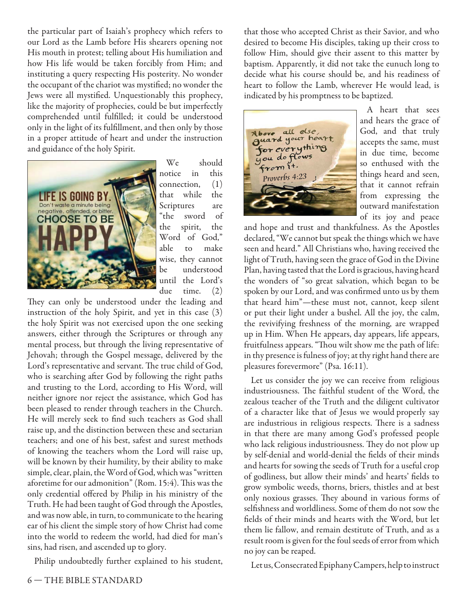the particular part of Isaiah's prophecy which refers to our Lord as the Lamb before His shearers opening not His mouth in protest; telling about His humiliation and how His life would be taken forcibly from Him; and instituting a query respecting His posterity. No wonder the occupant of the chariot was mystified; no wonder the Jews were all mystified. Unquestionably this prophecy, like the majority of prophecies, could be but imperfectly comprehended until fulfilled; it could be understood only in the light of its fulfillment, and then only by those in a proper attitude of heart and under the instruction and guidance of the holy Spirit.



We should notice in this connection, (1) that while the Scriptures are "the sword of the spirit, the Word of God," able to make wise, they cannot be understood until the Lord's due time. (2)

They can only be understood under the leading and instruction of the holy Spirit, and yet in this case (3) the holy Spirit was not exercised upon the one seeking answers, either through the Scriptures or through any mental process, but through the living representative of Jehovah; through the Gospel message, delivered by the Lord's representative and servant. The true child of God, who is searching after God by following the right paths and trusting to the Lord, according to His Word, will neither ignore nor reject the assistance, which God has been pleased to render through teachers in the Church. He will merely seek to find such teachers as God shall raise up, and the distinction between these and sectarian teachers; and one of his best, safest and surest methods of knowing the teachers whom the Lord will raise up, will be known by their humility, by their ability to make simple, clear, plain, the Word of God, which was "written aforetime for our admonition" (Rom. 15:4). This was the only credential offered by Philip in his ministry of the Truth. He had been taught of God through the Apostles, and was now able, in turn, to communicate to the hearing ear of his client the simple story of how Christ had come into the world to redeem the world, had died for man's sins, had risen, and ascended up to glory.

Philip undoubtedly further explained to his student,

that those who accepted Christ as their Savior, and who desired to become His disciples, taking up their cross to follow Him, should give their assent to this matter by baptism. Apparently, it did not take the eunuch long to decide what his course should be, and his readiness of heart to follow the Lamb, wherever He would lead, is indicated by his promptness to be baptized.



A heart that sees and hears the grace of God, and that truly accepts the same, must in due time, become so enthused with the things heard and seen, that it cannot refrain from expressing the outward manifestation of its joy and peace

and hope and trust and thankfulness. As the Apostles declared, "We cannot but speak the things which we have seen and heard." All Christians who, having received the light of Truth, having seen the grace of God in the Divine Plan, having tasted that the Lord is gracious, having heard the wonders of "so great salvation, which began to be spoken by our Lord, and was confirmed unto us by them that heard him"—these must not, cannot, keep silent or put their light under a bushel. All the joy, the calm, the revivifying freshness of the morning, are wrapped up in Him. When He appears, day appears, life appears, fruitfulness appears. "Thou wilt show me the path of life: in thy presence is fulness of joy; at thy right hand there are pleasures forevermore" (Psa. 16:11).

Let us consider the joy we can receive from religious industriousness. The faithful student of the Word, the zealous teacher of the Truth and the diligent cultivator of a character like that of Jesus we would properly say are industrious in religious respects. There is a sadness in that there are many among God's professed people who lack religious industriousness. They do not plow up by self-denial and world-denial the fields of their minds and hearts for sowing the seeds of Truth for a useful crop of godliness, but allow their minds' and hearts' fields to grow symbolic weeds, thorns, briers, thistles and at best only noxious grasses. They abound in various forms of selfishness and worldliness. Some of them do not sow the fields of their minds and hearts with the Word, but let them lie fallow, and remain destitute of Truth, and as a result room is given for the foul seeds of error from which no joy can be reaped.

Let us, Consecrated Epiphany Campers, help to instruct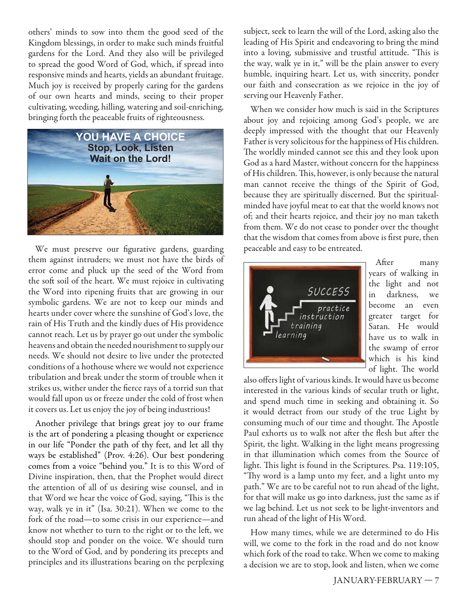others' minds to sow into them the good seed of the Kingdom blessings, in order to make such minds fruitful gardens for the Lord. And they also will be privileged to spread the good Word of God, which, if spread into responsive minds and hearts, yields an abundant fruitage. Much joy is received by properly caring for the gardens of our own hearts and minds, seeing to their proper cultivating, weeding, hilling, watering and soil-enriching, bringing forth the peaceable fruits of righteousness.



We must preserve our figurative gardens, guarding them against intruders; we must not have the birds of error come and pluck up the seed of the Word from the soft soil of the heart. We must rejoice in cultivating the Word into ripening fruits that are growing in our symbolic gardens. We are not to keep our minds and hearts under cover where the sunshine of God's love, the rain of His Truth and the kindly dues of His providence cannot reach. Let us by prayer go out under the symbolic heavens and obtain the needed nourishment to supply our needs. We should not desire to live under the protected conditions of a hothouse where we would not experience tribulation and break under the storm of trouble when it strikes us, wither under the fierce rays of a torrid sun that would fall upon us or freeze under the cold of frost when it covers us. Let us enjoy the joy of being industrious!

Another privilege that brings great joy to our frame is the art of pondering a pleasing thought or experience in our life "Ponder the path of thy feet, and let all thy ways be established" (Prov. 4:26). Our best pondering comes from a voice "behind you." It is to this Word of Divine inspiration, then, that the Prophet would direct the attention of all of us desiring wise counsel, and in that Word we hear the voice of God, saying, "This is the way, walk ye in it" (Isa. 30:21). When we come to the fork of the road—to some crisis in our experience—and know not whether to turn to the right or to the left, we should stop and ponder on the voice. We should turn to the Word of God, and by pondering its precepts and principles and its illustrations bearing on the perplexing subject, seek to learn the will of the Lord, asking also the leading of His Spirit and endeavoring to bring the mind into a loving, submissive and trustful attitude. "This is the way, walk ye in it," will be the plain answer to every humble, inquiring heart. Let us, with sincerity, ponder our faith and consecration as we rejoice in the joy of serving our Heavenly Father.

When we consider how much is said in the Scriptures about joy and rejoicing among God's people, we are deeply impressed with the thought that our Heavenly Father is very solicitous for the happiness of His children. The worldly minded cannot see this and they look upon God as a hard Master, without concern for the happiness of His children. This, however, is only because the natural man cannot receive the things of the Spirit of God, because they are spiritually discerned. But the spiritualminded have joyful meat to eat that the world knows not of; and their hearts rejoice, and their joy no man taketh from them. We do not cease to ponder over the thought that the wisdom that comes from above is first pure, then peaceable and easy to be entreated.



After many years of walking in the light and not in darkness, we become an even greater target for Satan. He would have us to walk in the swamp of error which is his kind of light. The world

also offers light of various kinds. It would have us become interested in the various kinds of secular truth or light, and spend much time in seeking and obtaining it. So it would detract from our study of the true Light by consuming much of our time and thought. The Apostle Paul exhorts us to walk not after the flesh but after the Spirit, the light. Walking in the light means progressing in that illumination which comes from the Source of light. This light is found in the Scriptures. Psa. 119:105, "Thy word is a lamp unto my feet, and a light unto my path." We are to be careful not to run ahead of the light, for that will make us go into darkness, just the same as if we lag behind. Let us not seek to be light-inventors and run ahead of the light of His Word.

How many times, while we are determined to do His will, we come to the fork in the road and do not know which fork of the road to take. When we come to making a decision we are to stop, look and listen, when we come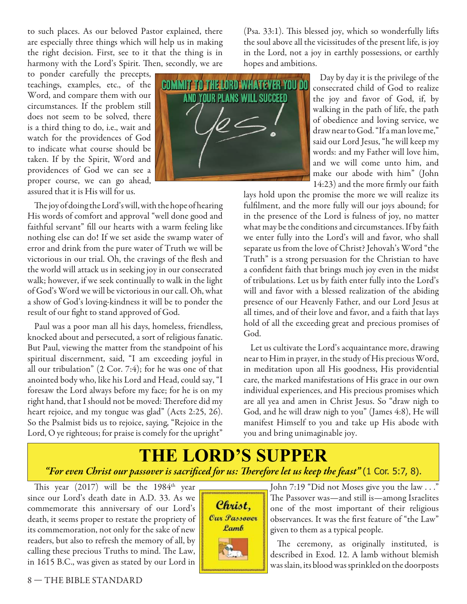to such places. As our beloved Pastor explained, there are especially three things which will help us in making the right decision. First, see to it that the thing is in harmony with the Lord's Spirit. Then, secondly, we are

to ponder carefully the precepts, teachings, examples, etc., of the Word, and compare them with our circumstances. If the problem still does not seem to be solved, there is a third thing to do, i.e., wait and watch for the providences of God to indicate what course should be taken. If by the Spirit, Word and providences of God we can see a proper course, we can go ahead, assured that it is His will for us.

The joy of doing the Lord's will, with the hope of hearing His words of comfort and approval "well done good and faithful servant" fill our hearts with a warm feeling like nothing else can do! If we set aside the swamp water of error and drink from the pure water of Truth we will be victorious in our trial. Oh, the cravings of the flesh and the world will attack us in seeking joy in our consecrated walk; however, if we seek continually to walk in the light of God's Word we will be victorious in our call. Oh, what a show of God's loving-kindness it will be to ponder the result of our fight to stand approved of God.

Paul was a poor man all his days, homeless, friendless, knocked about and persecuted, a sort of religious fanatic. But Paul, viewing the matter from the standpoint of his spiritual discernment, said, "I am exceeding joyful in all our tribulation" (2 Cor. 7:4); for he was one of that anointed body who, like his Lord and Head, could say, "I foresaw the Lord always before my face; for he is on my right hand, that I should not be moved: Therefore did my heart rejoice, and my tongue was glad" (Acts 2:25, 26). So the Psalmist bids us to rejoice, saying, "Rejoice in the Lord, O ye righteous; for praise is comely for the upright"



 $(Psa. 33:1)$ . This blessed joy, which so wonderfully lifts the soul above all the vicissitudes of the present life, is joy in the Lord, not a joy in earthly possessions, or earthly hopes and ambitions.

> Day by day it is the privilege of the consecrated child of God to realize the joy and favor of God, if, by walking in the path of life, the path of obedience and loving service, we draw near to God. "If a man love me," said our Lord Jesus, "he will keep my words: and my Father will love him, and we will come unto him, and make our abode with him" (John 14:23) and the more firmly our faith

lays hold upon the promise the more we will realize its fulfilment, and the more fully will our joys abound; for in the presence of the Lord is fulness of joy, no matter what may be the conditions and circumstances. If by faith we enter fully into the Lord's will and favor, who shall separate us from the love of Christ? Jehovah's Word "the Truth" is a strong persuasion for the Christian to have a confident faith that brings much joy even in the midst of tribulations. Let us by faith enter fully into the Lord's will and favor with a blessed realization of the abiding presence of our Heavenly Father, and our Lord Jesus at all times, and of their love and favor, and a faith that lays hold of all the exceeding great and precious promises of God.

Let us cultivate the Lord's acquaintance more, drawing near to Him in prayer, in the study of His precious Word, in meditation upon all His goodness, His providential care, the marked manifestations of His grace in our own individual experiences, and His precious promises which are all yea and amen in Christ Jesus. So "draw nigh to God, and he will draw nigh to you" (James 4:8), He will manifest Himself to you and take up His abode with you and bring unimaginable joy.

# **THE LORD'S SUPPER** *"For even Christ our passover is sacrifi ced for us: Th erefore let us keep the feast"* (1 Cor. 5:7, 8).

This year  $(2017)$  will be the 1984<sup>th</sup> year since our Lord's death date in A.D. 33. As we commemorate this anniversary of our Lord's death, it seems proper to restate the propriety of its commemoration, not only for the sake of new readers, but also to refresh the memory of all, by calling these precious Truths to mind. The Law, in 1615 B.C., was given as stated by our Lord in



John 7:19 "Did not Moses give you the law . . ." The Passover was—and still is—among Israelites one of the most important of their religious observances. It was the first feature of "the Law" given to them as a typical people.

The ceremony, as originally instituted, is described in Exod. 12. A lamb without blemish was slain, its blood was sprinkled on the doorposts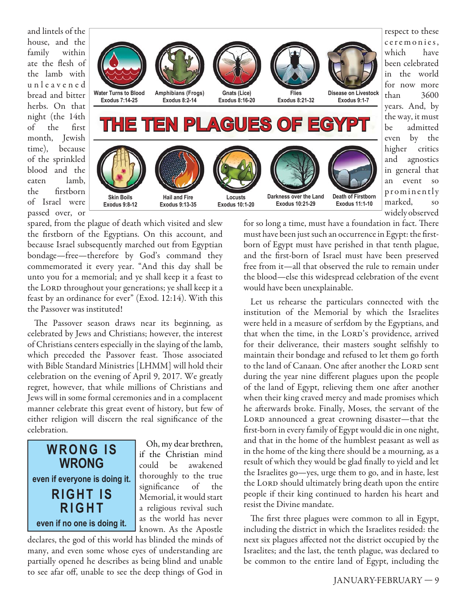and lintels of the house, and the family within ate the flesh of the lamb with u n l e a v e n e d bread and bitter herbs. On that night (the 14th of the first month, Jewish time), because of the sprinkled blood and the eaten lamb, the firstborn of Israel were passed over, or



spared, from the plague of death which visited and slew the firstborn of the Egyptians. On this account, and because Israel subsequently marched out from Egyptian bondage—free—therefore by God's command they commemorated it every year. "And this day shall be unto you for a memorial; and ye shall keep it a feast to the LORD throughout your generations; ye shall keep it a feast by an ordinance for ever" (Exod. 12:14). With this the Passover was instituted!

The Passover season draws near its beginning, as celebrated by Jews and Christians; however, the interest of Christians centers especially in the slaying of the lamb, which preceded the Passover feast. Those associated with Bible Standard Ministries [LHMM] will hold their celebration on the evening of April 9, 2017. We greatly regret, however, that while millions of Christians and Jews will in some formal ceremonies and in a complacent manner celebrate this great event of history, but few of either religion will discern the real significance of the celebration.



Oh, my dear brethren, if the Christian mind could be awakened thoroughly to the true significance of the Memorial, it would start a religious revival such as the world has never known. As the Apostle

declares, the god of this world has blinded the minds of many, and even some whose eyes of understanding are partially opened he describes as being blind and unable to see afar off, unable to see the deep things of God in

for so long a time, must have a foundation in fact. There must have been just such an occurrence in Egypt: the firstborn of Egypt must have perished in that tenth plague, and the first-born of Israel must have been preserved free from it—all that observed the rule to remain under the blood—else this widespread celebration of the event would have been unexplainable.

Let us rehearse the particulars connected with the institution of the Memorial by which the Israelites were held in a measure of serfdom by the Egyptians, and that when the time, in the LORD's providence, arrived for their deliverance, their masters sought selfishly to maintain their bondage and refused to let them go forth to the land of Canaan. One after another the LORD sent during the year nine different plagues upon the people of the land of Egypt, relieving them one after another when their king craved mercy and made promises which he afterwards broke. Finally, Moses, the servant of the LORD announced a great crowning disaster-that the first-born in every family of Egypt would die in one night, and that in the home of the humblest peasant as well as in the home of the king there should be a mourning, as a result of which they would be glad finally to yield and let the Israelites go—yes, urge them to go, and in haste, lest the LORD should ultimately bring death upon the entire people if their king continued to harden his heart and resist the Divine mandate.

The first three plagues were common to all in Egypt, including the district in which the Israelites resided: the next six plagues affected not the district occupied by the Israelites; and the last, the tenth plague, was declared to be common to the entire land of Egypt, including the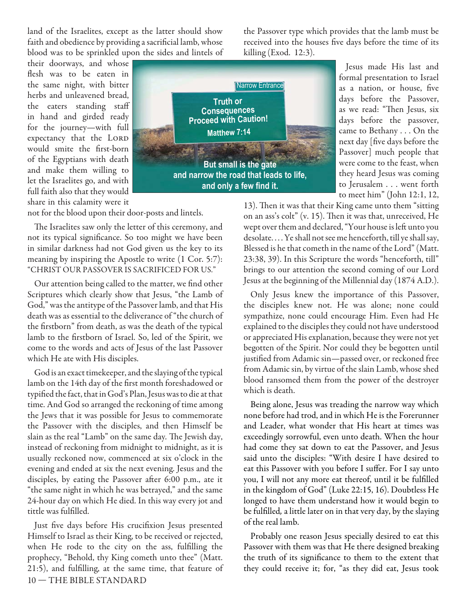land of the Israelites, except as the latter should show faith and obedience by providing a sacrificial lamb, whose blood was to be sprinkled upon the sides and lintels of

their doorways, and whose flesh was to be eaten in the same night, with bitter herbs and unleavened bread, the eaters standing staff in hand and girded ready for the journey—with full expectancy that the LORD would smite the first-born of the Egyptians with death and make them willing to let the Israelites go, and with full faith also that they would share in this calamity were it



killing (Exod. 12:3).

Jesus made His last and formal presentation to Israel as a nation, or house, five days before the Passover, as we read: "Then Jesus, six days before the passover, came to Bethany . . . On the next day [five days before the Passover] much people that were come to the feast, when they heard Jesus was coming to Jerusalem . . . went forth to meet him" (John 12:1, 12,

13). Then it was that their King came unto them "sitting on an ass's colt" (v. 15). Then it was that, unreceived, He wept over them and declared, "Your house is left unto you desolate. . . . Ye shall not see me henceforth, till ye shall say, Blessed is he that cometh in the name of the Lord" (Matt. 23:38, 39). In this Scripture the words "henceforth, till" brings to our attention the second coming of our Lord Jesus at the beginning of the Millennial day (1874 A.D.).

the Passover type which provides that the lamb must be received into the houses five days before the time of its

Only Jesus knew the importance of this Passover, the disciples knew not. He was alone; none could sympathize, none could encourage Him. Even had He explained to the disciples they could not have understood or appreciated His explanation, because they were not yet begotten of the Spirit. Nor could they be begotten until justified from Adamic sin-passed over, or reckoned free from Adamic sin, by virtue of the slain Lamb, whose shed blood ransomed them from the power of the destroyer which is death.

Being alone, Jesus was treading the narrow way which none before had trod, and in which He is the Forerunner and Leader, what wonder that His heart at times was exceedingly sorrowful, even unto death. When the hour had come they sat down to eat the Passover, and Jesus said unto the disciples: "With desire I have desired to eat this Passover with you before I suffer. For I say unto you, I will not any more eat thereof, until it be fulfilled in the kingdom of God" (Luke 22:15, 16). Doubtless He longed to have them understand how it would begin to be fulfilled, a little later on in that very day, by the slaying of the real lamb.

Probably one reason Jesus specially desired to eat this Passover with them was that He there designed breaking the truth of its significance to them to the extent that they could receive it; for, "as they did eat, Jesus took

not for the blood upon their door-posts and lintels.

The Israelites saw only the letter of this ceremony, and not its typical significance. So too might we have been in similar darkness had not God given us the key to its meaning by inspiring the Apostle to write (1 Cor. 5:7): "CHRIST OUR PASSOVER IS SACRIFICED FOR US."

Our attention being called to the matter, we find other Scriptures which clearly show that Jesus, "the Lamb of God," was the antitype of the Passover lamb, and that His death was as essential to the deliverance of "the church of the firstborn" from death, as was the death of the typical lamb to the firstborn of Israel. So, led of the Spirit, we come to the words and acts of Jesus of the last Passover which He ate with His disciples.

God is an exact timekeeper, and the slaying of the typical lamb on the 14th day of the first month foreshadowed or typified the fact, that in God's Plan, Jesus was to die at that time. And God so arranged the reckoning of time among the Jews that it was possible for Jesus to commemorate the Passover with the disciples, and then Himself be slain as the real "Lamb" on the same day. The Jewish day, instead of reckoning from midnight to midnight, as it is usually reckoned now, commenced at six o'clock in the evening and ended at six the next evening. Jesus and the disciples, by eating the Passover after 6:00 p.m., ate it "the same night in which he was betrayed," and the same 24-hour day on which He died. In this way every jot and tittle was fulfilled.

10 — THE BIBLE STANDARD Just five days before His crucifixion Jesus presented Himself to Israel as their King, to be received or rejected, when He rode to the city on the ass, fulfilling the prophecy, "Behold, thy King cometh unto thee" (Matt.  $21:5$ ), and fulfilling, at the same time, that feature of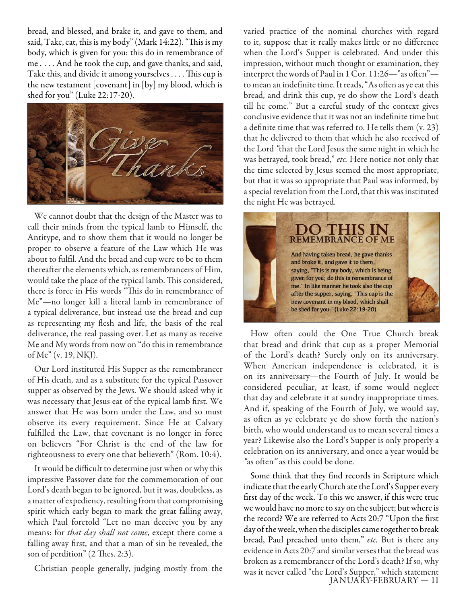bread, and blessed, and brake it, and gave to them, and said, Take, eat, this is my body" (Mark  $14:22$ ). "This is my body, which is given for you: this do in remembrance of me *.* . . . And he took the cup, and gave thanks, and said, Take this, and divide it among yourselves . . . . This cup is the new testament [covenant] in [by] my blood, which is shed for you" (Luke 22:17-20).



We cannot doubt that the design of the Master was to call their minds from the typical lamb to Himself, the Antitype, and to show them that it would no longer be proper to observe a feature of the Law which He was about to fulfil. And the bread and cup were to be to them thereafter the elements which, as remembrancers of Him, would take the place of the typical lamb. This considered, there is force in His words "This do in remembrance of Me"—no longer kill a literal lamb in remembrance of a typical deliverance, but instead use the bread and cup as representing my flesh and life, the basis of the real deliverance, the real passing over. Let as many as receive Me and My words from now on "do this in remembrance of Me" (v. 19, NKJ).

Our Lord instituted His Supper as the remembrancer of His death, and as a substitute for the typical Passover supper as observed by the Jews. We should asked why it was necessary that Jesus eat of the typical lamb first. We answer that He was born under the Law, and so must observe its every requirement. Since He at Calvary fulfilled the Law, that covenant is no longer in force on believers "For Christ is the end of the law for righteousness to every one that believeth" (Rom. 10:4).

It would be difficult to determine just when or why this impressive Passover date for the commemoration of our Lord's death began to be ignored, but it was, doubtless, as a matter of expediency, resulting from that compromising spirit which early began to mark the great falling away, which Paul foretold "Let no man deceive you by any means: for *that day shall not come*, except there come a falling away first, and that a man of sin be revealed, the son of perdition" (2 Thes. 2:3).

Christian people generally, judging mostly from the

varied practice of the nominal churches with regard to it, suppose that it really makes little or no difference when the Lord's Supper is celebrated. And under this impression, without much thought or examination, they interpret the words of Paul in 1 Cor. 11:26-"as often"to mean an indefinite time. It reads, "As often as ye eat this bread, and drink this cup, ye do show the Lord's death till he come." But a careful study of the context gives conclusive evidence that it was not an indefinite time but a definite time that was referred to. He tells them  $(v. 23)$ that he delivered to them that which he also received of the Lord *"*that the Lord Jesus the same night in which he was betrayed, took bread," *etc.* Here notice not only that the time selected by Jesus seemed the most appropriate, but that it was so appropriate that Paul was informed, by a special revelation from the Lord, that this was instituted the night He was betrayed.



How often could the One True Church break that bread and drink that cup as a proper Memorial of the Lord's death? Surely only on its anniversary. When American independence is celebrated, it is on its anniversary—the Fourth of July. It would be considered peculiar, at least, if some would neglect that day and celebrate it at sundry inappropriate times. And if, speaking of the Fourth of July, we would say, as often as ye celebrate ye do show forth the nation's birth, who would understand us to mean several times a year? Likewise also the Lord's Supper is only properly a celebration on its anniversary, and once a year would be *"*as oft en*"* as this could be done.

 JANUARY-FEBRUARY — 11 Some think that they find records in Scripture which indicate that the early Church ate the Lord's Supper every first day of the week. To this we answer, if this were true we would have no more to say on the subject; but where is the record? We are referred to Acts 20:7 "Upon the first day of the week, when the disciples came together to break bread, Paul preached unto them," *etc.* But is there any evidence in Acts 20:7 and similar verses that the bread was broken as a remembrancer of the Lord's death? If so, why was it never called "the Lord's Supper," which statement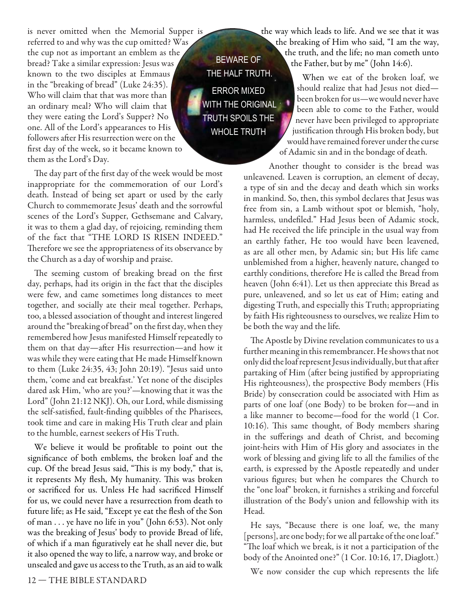is never omitted when the Memorial Supper is referred to and why was the cup omitted? Was the cup not as important an emblem as the bread? Take a similar expression: Jesus was known to the two disciples at Emmaus in the "breaking of bread" (Luke 24:35). Who will claim that that was more than an ordinary meal? Who will claim that they were eating the Lord's Supper? No one. All of the Lord's appearances to His followers after His resurrection were on the first day of the week, so it became known to them as the Lord's Day.

**BEWARE OF** THE HALF TRUTH. **ERROR MIXED WITH THE ORIGINAL TRUTH SPOILS THE WHOLE TRUTH** 

The day part of the first day of the week would be most inappropriate for the commemoration of our Lord's death. Instead of being set apart or used by the early Church to commemorate Jesus' death and the sorrowful scenes of the Lord's Supper, Gethsemane and Calvary, it was to them a glad day, of rejoicing, reminding them of the fact that "THE LORD IS RISEN INDEED." Therefore we see the appropriateness of its observance by the Church as a day of worship and praise.

The seeming custom of breaking bread on the first day, perhaps, had its origin in the fact that the disciples were few, and came sometimes long distances to meet together, and socially ate their meal together. Perhaps, too, a blessed association of thought and interest lingered around the "breaking of bread" on the first day, when they remembered how Jesus manifested Himself repeatedly to them on that day—after His resurrection—and how it was while they were eating that He made Himself known to them (Luke 24:35, 43; John 20:19). "Jesus said unto them, 'come and eat breakfast.' Yet none of the disciples dared ask Him, 'who are you?'—knowing that it was the Lord" (John 21:12 NKJ). Oh, our Lord, while dismissing the self-satisfied, fault-finding quibbles of the Pharisees, took time and care in making His Truth clear and plain to the humble, earnest seekers of His Truth.

We believe it would be profitable to point out the significance of both emblems, the broken loaf and the cup. Of the bread Jesus said, "This is my body," that is, it represents My flesh, My humanity. This was broken or sacrificed for us. Unless He had sacrificed Himself for us, we could never have a resurrection from death to future life; as He said, "Except ye eat the flesh of the Son of man . . . ye have no life in you" (John 6:53). Not only was the breaking of Jesus' body to provide Bread of life, of which if a man figuratively eat he shall never die, but it also opened the way to life, a narrow way, and broke or unsealed and gave us access to the Truth, as an aid to walk

the way which leads to life. And we see that it was the breaking of Him who said, "I am the way, the truth, and the life; no man cometh unto the Father, but by me" (John 14:6).

> When we eat of the broken loaf, we should realize that had Jesus not died been broken for us*—*we would never have been able to come to the Father, would never have been privileged to appropriate justification through His broken body, but would have remained forever under the curse of Adamic sin and in the bondage of death.

Another thought to consider is the bread was unleavened. Leaven is corruption, an element of decay, a type of sin and the decay and death which sin works in mankind. So, then, this symbol declares that Jesus was free from sin, a Lamb without spot or blemish, "holy, harmless, undefiled." Had Jesus been of Adamic stock, had He received the life principle in the usual way from an earthly father, He too would have been leavened, as are all other men, by Adamic sin; but His life came unblemished from a higher, heavenly nature, changed to earthly conditions, therefore He is called the Bread from heaven (John 6:41). Let us then appreciate this Bread as pure, unleavened, and so let us eat of Him; eating and digesting Truth, and especially this Truth; appropriating by faith His righteousness to ourselves, we realize Him to be both the way and the life*.*

The Apostle by Divine revelation communicates to us a further meaning in this remembrancer. He shows that not only did the loaf represent Jesus individually, but that after partaking of Him (after being justified by appropriating His righteousness), the prospective Body members (His Bride) by consecration could be associated with Him as parts of one loaf (one Body) to be broken for—and in a like manner to become—food for the world (1 Cor. 10:16). This same thought, of Body members sharing in the sufferings and death of Christ, and becoming joint-heirs with Him of His glory and associates in the work of blessing and giving life to all the families of the earth, is expressed by the Apostle repeatedly and under various figures; but when he compares the Church to the "one loaf" broken, it furnishes a striking and forceful illustration of the Body's union and fellowship with its Head.

He says, "Because there is one loaf, we, the many [persons], are one body; for we all partake of the one loaf." "The loaf which we break, is it not a participation of the body of the Anointed one?" (1 Cor. 10:16, 17, Diaglott.)

We now consider the cup which represents the life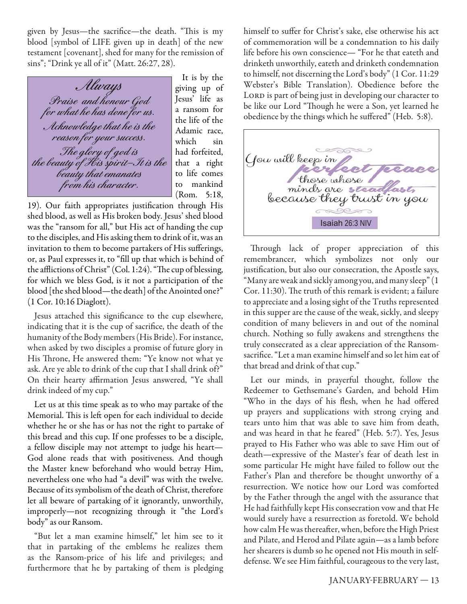given by Jesus—the sacrifice—the death. "This is my blood [symbol of LIFE given up in death] of the new testament [covenant], shed for many for the remission of sins"; "Drink ye all of it" (Matt. 26:27, 28).

**Always Praise and honour God for what he has done for us. Acknowledge that he is the reason for your success. The glory of god is the beauty of His spirit—It is the beauty that emanates from his character.**

It is by the giving up of Jesus' life as a ransom for the life of the Adamic race, which sin had forfeited, that a right to life comes to mankind (Rom. 5:18,

19). Our faith appropriates justification through His shed blood, as well as His broken body. Jesus' shed blood was the "ransom for all," but His act of handing the cup to the disciples, and His asking them to drink of it, was an invitation to them to become partakers of His sufferings, or, as Paul expresses it, to "fill up that which is behind of the afflictions of Christ" (Col. 1:24). "The cup of blessing, for which we bless God, is it not a participation of the blood [the shed blood—the death] of the Anointed one?" (1 Cor. 10:16 Diaglott).

Jesus attached this significance to the cup elsewhere, indicating that it is the cup of sacrifice, the death of the humanity of the Body members (His Bride). For instance, when asked by two disciples a promise of future glory in His Throne, He answered them: "Ye know not what ye ask. Are ye able to drink of the cup that I shall drink of?" On their hearty affirmation Jesus answered, "Ye shall drink indeed of my cup."

Let us at this time speak as to who may partake of the Memorial. This is left open for each individual to decide whether he or she has or has not the right to partake of this bread and this cup. If one professes to be a disciple, a fellow disciple may not attempt to judge his heart— God alone reads that with positiveness. And though the Master knew beforehand who would betray Him, nevertheless one who had "a devil" was with the twelve. Because of its symbolism of the death of Christ, therefore let all beware of partaking of it ignorantly, unworthily, improperly—not recognizing through it "the Lord's body" as our Ransom.

"But let a man examine himself," let him see to it that in partaking of the emblems he realizes them as the Ransom-price of his life and privileges; and furthermore that he by partaking of them is pledging himself to suffer for Christ's sake, else otherwise his act of commemoration will be a condemnation to his daily life before his own conscience— "For he that eateth and drinketh unworthily, eateth and drinketh condemnation to himself, not discerning the Lord's body" (1 Cor. 11:29 Webster's Bible Translation). Obedience before the LORD is part of being just in developing our character to be like our Lord "Though he were a Son, yet learned he obedience by the things which he suffered" (Heb. 5:8).



Through lack of proper appreciation of this remembrancer, which symbolizes not only our justification, but also our consecration, the Apostle says, "Many are weak and sickly among you, and many sleep" (1 Cor. 11:30). The truth of this remark is evident; a failure to appreciate and a losing sight of the Truths represented in this supper are the cause of the weak, sickly, and sleepy condition of many believers in and out of the nominal church. Nothing so fully awakens and strengthens the truly consecrated as a clear appreciation of the Ransomsacrifice. "Let a man examine himself and so let him eat of that bread and drink of that cup."

Let our minds, in prayerful thought, follow the Redeemer to Gethsemane's Garden, and behold Him "Who in the days of his flesh, when he had offered up prayers and supplications with strong crying and tears unto him that was able to save him from death, and was heard in that he feared" (Heb. 5:7). Yes, Jesus prayed to His Father who was able to save Him out of death—expressive of the Master's fear of death lest in some particular He might have failed to follow out the Father's Plan and therefore be thought unworthy of a resurrection. We notice how our Lord was comforted by the Father through the angel with the assurance that He had faithfully kept His consecration vow and that He would surely have a resurrection as foretold. We behold how calm He was thereafter, when, before the High Priest and Pilate, and Herod and Pilate again—as a lamb before her shearers is dumb so he opened not His mouth in selfdefense. We see Him faithful, courageous to the very last,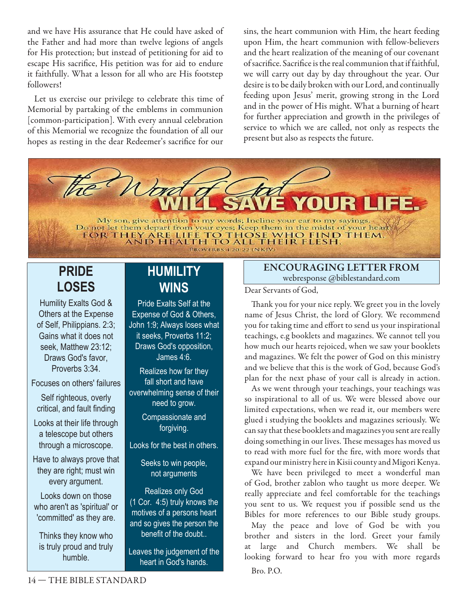and we have His assurance that He could have asked of the Father and had more than twelve legions of angels for His protection; but instead of petitioning for aid to escape His sacrifice, His petition was for aid to endure it faithfully. What a lesson for all who are His footstep followers!

Let us exercise our privilege to celebrate this time of Memorial by partaking of the emblems in communion [common-participation]. With every annual celebration of this Memorial we recognize the foundation of all our hopes as resting in the dear Redeemer's sacrifice for our

sins, the heart communion with Him, the heart feeding upon Him, the heart communion with fellow-believers and the heart realization of the meaning of our covenant of sacrifice. Sacrifice is the real communion that if faithful, we will carry out day by day throughout the year. Our desire is to be daily broken with our Lord, and continually feeding upon Jesus' merit, growing strong in the Lord and in the power of His might. What a burning of heart for further appreciation and growth in the privileges of service to which we are called, not only as respects the present but also as respects the future.



# **PRIDE LOSES**

Humility Exalts God & Others at the Expense of Self, Philippians. 2:3; Gains what it does not seek, Matthew 23:12; Draws God's favor, Proverbs 3:34

Focuses on others' failures

Self righteous, overly critical, and fault finding

Looks at their life through a telescope but others through a microscope.

Have to always prove that they are right; must win every argument.

Looks down on those who aren't as 'spiritual' or 'committed' as they are.

Thinks they know who is truly proud and truly humble.

# **HUMILITY WINS**

**Pride Exalts Self at the** Expense of God & Others, John 1:9; Always loses what it seeks, Proverbs 11:2; Draws God's opposition, James 4:6.

Realizes how far they fall short and have overwhelming sense of their need to grow.

> Compassionate and forgiving.

Looks for the best in others.

Seeks to win people, not arguments

**Realizes only God** (1 Cor. 4:5) truly knows the motives of a persons heart and so gives the person the benefit of the doubt..

Leaves the judgement of the heart in God's hands.

### **ENCOURAGING LETTER FROM**  webresponse @biblestandard.com

Dear Servants of God,

Thank you for your nice reply. We greet you in the lovely name of Jesus Christ, the lord of Glory. We recommend you for taking time and effort to send us your inspirational teachings, e.g booklets and magazines. We cannot tell you how much our hearts rejoiced, when we saw your booklets and magazines. We felt the power of God on this ministry and we believe that this is the work of God, because God's plan for the next phase of your call is already in action.

As we went through your teachings, your teachings was so inspirational to all of us. We were blessed above our limited expectations, when we read it, our members were glued i studying the booklets and magazines seriously. We can say that these booklets and magazines you sent are really doing something in our lives. These messages has moved us to read with more fuel for the fire, with more words that expand our ministry here in Kisii county and Migori Kenya.

We have been privileged to meet a wonderful man of God, brother zablon who taught us more deeper. We really appreciate and feel comfortable for the teachings you sent to us. We request you if possible send us the Bibles for more references to our Bible study groups.

May the peace and love of God be with you brother and sisters in the lord. Greet your family large and Church members. We shall be looking forward to hear fro you with more regards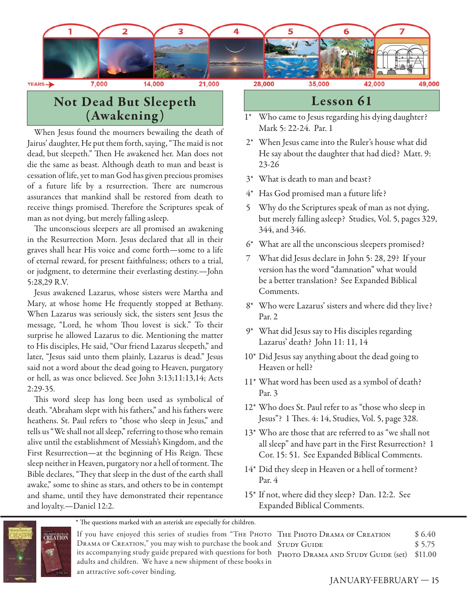

#### YEARS -

28,000

35,000

# **Not Dead But Sleepeth (Awakening )**

When Jesus found the mourners bewailing the death of Jairus' daughter, He put them forth, saying, "The maid is not dead, but sleepeth." Then He awakened her. Man does not die the same as beast. Although death to man and beast is cessation of life, yet to man God has given precious promises of a future life by a resurrection. There are numerous assurances that mankind shall be restored from death to receive things promised. Therefore the Scriptures speak of man as not dying, but merely falling asleep.

The unconscious sleepers are all promised an awakening in the Resurrection Morn. Jesus declared that all in their graves shall hear His voice and come forth—some to a life of eternal reward, for present faithfulness; others to a trial, or judgment, to determine their everlasting destiny.—John 5:28,29 R.V.

Jesus awakened Lazarus, whose sisters were Martha and Mary, at whose home He frequently stopped at Bethany. When Lazarus was seriously sick, the sisters sent Jesus the message, "Lord, he whom Thou lovest is sick." To their surprise he allowed Lazarus to die. Mentioning the matter to His disciples, He said, "Our friend Lazarus sleepeth," and later, "Jesus said unto them plainly, Lazarus is dead." Jesus said not a word about the dead going to Heaven, purgatory or hell, as was once believed. See John 3:13;11:13,14; Acts 2:29-35.

This word sleep has long been used as symbolical of death. "Abraham slept with his fathers," and his fathers were heathens. St. Paul refers to "those who sleep in Jesus," and tells us "We shall not all sleep," referring to those who remain alive until the establishment of Messiah's Kingdom, and the First Resurrection—at the beginning of His Reign. These sleep neither in Heaven, purgatory nor a hell of torment. The Bible declares, "They that sleep in the dust of the earth shall awake," some to shine as stars, and others to be in contempt and shame, until they have demonstrated their repentance and loyalty.—Daniel 12:2.

## **Lesson 61**

- 1\* Who came to Jesus regarding his dying daughter? Mark 5: 22-24. Par. 1
- 2\* When Jesus came into the Ruler's house what did He say about the daughter that had died? Matt. 9: 23-26
- 3\* What is death to man and beast?
- 4\* Has God promised man a future life?
- 5 Why do the Scriptures speak of man as not dying, but merely falling asleep? Studies, Vol. 5, pages 329, 344, and 346.
- 6\* What are all the unconscious sleepers promised?
- 7 What did Jesus declare in John 5: 28, 29? If your version has the word "damnation" what would be a better translation? See Expanded Biblical Comments.
- 8\* Who were Lazarus' sisters and where did they live? Par. 2
- 9\* What did Jesus say to His disciples regarding Lazarus' death? John 11: 11, 14
- 10\* Did Jesus say anything about the dead going to Heaven or hell?
- 11\* What word has been used as a symbol of death? Par. 3
- 12\* Who does St. Paul refer to as "those who sleep in Jesus"? 1 Thes. 4: 14, Studies, Vol. 5, page 328.
- 13\* Who are those that are referred to as "we shall not all sleep" and have part in the First Resurrection? 1 Cor. 15: 51. See Expanded Biblical Comments.
- 14\* Did they sleep in Heaven or a hell of torment? Par. 4
- 15\* If not, where did they sleep? Dan. 12:2. See Expanded Biblical Comments.



\* The questions marked with an asterisk are especially for children.

If you have enjoyed this series of studies from "THE PH DRAMA OF CREATION," you may wish to purchase the book its accompanying study guide prepared with questions for adults and children. We have a new shipment of these books in an attractive soft-cover binding.

|        | IOTO THE PHOTO DRAMA OF CREATION               | \$6.40 |
|--------|------------------------------------------------|--------|
|        | and STUDY GUIDE                                | \$5.75 |
|        | both Photo Drama and Study Guide (set) \$11.00 |        |
| lze in |                                                |        |